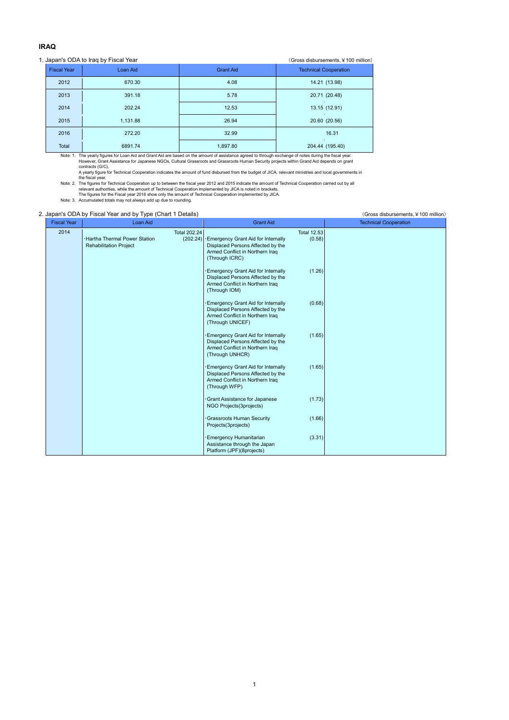# **IRAQ**

### 1. Japan's ODA to Iraq by Fiscal Year (Gross disbursements, ¥100 million)

| $. 5.00$ pair $. 5.001$ . $. 5.001$ . $. 5.001$<br>$\sim$ . 000 and 000 and 000 . 000 . 000 . 000 . 000 . 000 . 000 . 000 . 000 . 000 . 000 . 000 . 000 . 000 . 000 . 000 . 000 . 000 . 000 . 000 . 000 . 000 . 000 . 000 . 000 . 000 . 000 . 000 . 000 . 000 . 000 . 000 . 000 . |                    |          |                  |                              |  |  |  |  |  |
|-----------------------------------------------------------------------------------------------------------------------------------------------------------------------------------------------------------------------------------------------------------------------------------|--------------------|----------|------------------|------------------------------|--|--|--|--|--|
|                                                                                                                                                                                                                                                                                   | <b>Fiscal Year</b> | Loan Aid | <b>Grant Aid</b> | <b>Technical Cooperation</b> |  |  |  |  |  |
|                                                                                                                                                                                                                                                                                   | 2012               | 670.30   | 4.08             | 14.21 (13.98)                |  |  |  |  |  |
|                                                                                                                                                                                                                                                                                   | 2013               | 391.18   | 5.78             | 20.71 (20.48)                |  |  |  |  |  |
|                                                                                                                                                                                                                                                                                   | 2014               | 202.24   | 12.53            | 13.15 (12.91)                |  |  |  |  |  |
|                                                                                                                                                                                                                                                                                   | 2015               | 1,131.88 | 26.94            | 20.60 (20.56)                |  |  |  |  |  |
|                                                                                                                                                                                                                                                                                   | 2016               | 272.20   | 32.99            | 16.31                        |  |  |  |  |  |
|                                                                                                                                                                                                                                                                                   | Total              | 6891.74  | 1,897.80         | 204.44 (195.40)              |  |  |  |  |  |

Note: 1. The yearly figures for Loan Aid and Grant Aid are based on the amount of assistance agreed to through exchange of notes during the fiscal year.<br>However, Grant Assistance for Japanese NGOs, Cultural Grassroots and

contracts (G/C).<br>
A yearly figure for Technical Cooperation indicates the amount of fund disbursed from the budget of JICA, relevant ministries and local governments in<br>
the fiscal year.<br>
The figure for Technical Cooperati

### 2. Japan's ODA by Fiscal Year and by Type (Chart 1 Details) (Gross disbursements, ¥100 million)

| <b>Fiscal Year</b> | Loan Aid                                                                                                | <b>Grant Aid</b>                                                                                                                                             | <b>Technical Cooperation</b> |
|--------------------|---------------------------------------------------------------------------------------------------------|--------------------------------------------------------------------------------------------------------------------------------------------------------------|------------------------------|
| 2014               | <b>Total 202.24</b><br><b>Hartha Thermal Power Station</b><br>(202.24)<br><b>Rehabilitation Project</b> | <b>Total 12.53</b><br>Emergency Grant Aid for Internally<br>(0.58)<br>Displaced Persons Affected by the<br>Armed Conflict in Northern Iraq<br>(Through ICRC) |                              |
|                    |                                                                                                         | Emergency Grant Aid for Internally<br>(1.26)<br>Displaced Persons Affected by the<br>Armed Conflict in Northern Iraq<br>(Through IOM)                        |                              |
|                    |                                                                                                         | (0.68)<br>Emergency Grant Aid for Internally<br>Displaced Persons Affected by the<br>Armed Conflict in Northern Iraq<br>(Through UNICEF)                     |                              |
|                    |                                                                                                         | (1.65)<br>Emergency Grant Aid for Internally<br>Displaced Persons Affected by the<br>Armed Conflict in Northern Iraq<br>(Through UNHCR)                      |                              |
|                    |                                                                                                         | (1.65)<br>Emergency Grant Aid for Internally<br>Displaced Persons Affected by the<br>Armed Conflict in Northern Iraq<br>(Through WFP)                        |                              |
|                    |                                                                                                         | Grant Assistance for Japanese<br>(1.73)<br>NGO Projects(3projects)                                                                                           |                              |
|                    |                                                                                                         | Grassroots Human Security<br>(1.66)<br>Projects(3projects)                                                                                                   |                              |
|                    |                                                                                                         | (3.31)<br>Emergency Humanitarian<br>Assistance through the Japan<br>Platform (JPF)(8projects)                                                                |                              |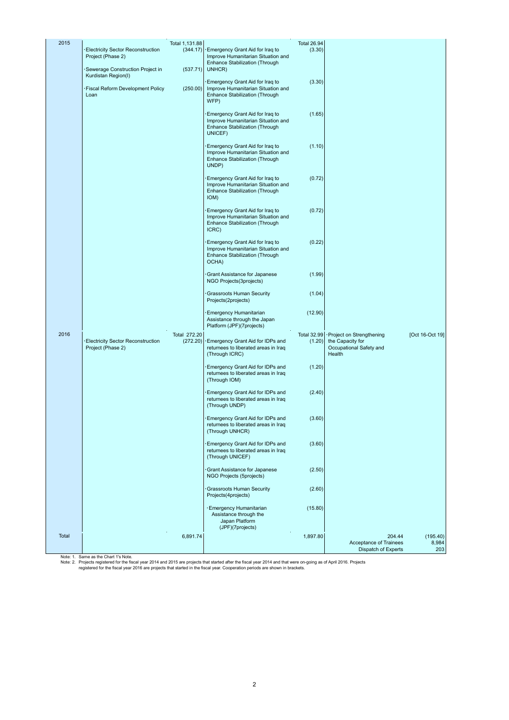| 2015  | Electricity Sector Reconstruction<br>Project (Phase 2)                                              | Total 1,131.88<br>(344.17) | Emergency Grant Aid for Iraq to<br>Improve Humanitarian Situation and<br>Enhance Stabilization (Through            | <b>Total 26.94</b><br>(3.30) |                                                                                   |                          |
|-------|-----------------------------------------------------------------------------------------------------|----------------------------|--------------------------------------------------------------------------------------------------------------------|------------------------------|-----------------------------------------------------------------------------------|--------------------------|
|       | Sewerage Construction Project in<br>Kurdistan Region(I)<br>Fiscal Reform Development Policy<br>Loan | (537.71)<br>(250.00)       | UNHCR)<br>Emergency Grant Aid for Iraq to<br>Improve Humanitarian Situation and<br>Enhance Stabilization (Through  | (3.30)                       |                                                                                   |                          |
|       |                                                                                                     |                            | WFP)                                                                                                               |                              |                                                                                   |                          |
|       |                                                                                                     |                            | Emergency Grant Aid for Iraq to<br>Improve Humanitarian Situation and<br>Enhance Stabilization (Through<br>UNICEF) | (1.65)                       |                                                                                   |                          |
|       |                                                                                                     |                            | Emergency Grant Aid for Iraq to<br>Improve Humanitarian Situation and<br>Enhance Stabilization (Through<br>UNDP)   | (1.10)                       |                                                                                   |                          |
|       |                                                                                                     |                            | Emergency Grant Aid for Iraq to<br>Improve Humanitarian Situation and<br>Enhance Stabilization (Through<br>IOM)    | (0.72)                       |                                                                                   |                          |
|       |                                                                                                     |                            | Emergency Grant Aid for Iraq to<br>Improve Humanitarian Situation and<br>Enhance Stabilization (Through<br>ICRC)   | (0.72)                       |                                                                                   |                          |
|       |                                                                                                     |                            | Emergency Grant Aid for Iraq to<br>Improve Humanitarian Situation and<br>Enhance Stabilization (Through<br>OCHA)   | (0.22)                       |                                                                                   |                          |
|       |                                                                                                     |                            | Grant Assistance for Japanese<br>NGO Projects(3projects)                                                           | (1.99)                       |                                                                                   |                          |
|       |                                                                                                     |                            | Grassroots Human Security<br>Projects(2projects)                                                                   | (1.04)                       |                                                                                   |                          |
|       |                                                                                                     |                            | <b>Emergency Humanitarian</b><br>Assistance through the Japan<br>Platform (JPF)(7projects)                         | (12.90)                      |                                                                                   |                          |
| 2016  | <b>Electricity Sector Reconstruction</b><br>Project (Phase 2)                                       | Total 272.20<br>(272.20)   | Emergency Grant Aid for IDPs and<br>returnees to liberated areas in Iraq<br>(Through ICRC)                         | <b>Total 32.99</b><br>(1.20) | Project on Strengthening<br>the Capacity for<br>Occupational Safety and<br>Health | [Oct 16-Oct 19]          |
|       |                                                                                                     |                            | Emergency Grant Aid for IDPs and<br>returnees to liberated areas in Iraq<br>(Through IOM)                          | (1.20)                       |                                                                                   |                          |
|       |                                                                                                     |                            | Emergency Grant Aid for IDPs and<br>returnees to liberated areas in Iraq<br>(Through UNDP)                         | (2.40)                       |                                                                                   |                          |
|       |                                                                                                     |                            | Emergency Grant Aid for IDPs and<br>returnees to liberated areas in Iraq<br>(Through UNHCR)                        | (3.60)                       |                                                                                   |                          |
|       |                                                                                                     |                            | Emergency Grant Aid for IDPs and<br>returnees to liberated areas in Iraq<br>(Through UNICEF)                       | (3.60)                       |                                                                                   |                          |
|       |                                                                                                     |                            | Grant Assistance for Japanese<br>NGO Projects (5projects)                                                          | (2.50)                       |                                                                                   |                          |
|       |                                                                                                     |                            | Grassroots Human Security<br>Projects(4projects)                                                                   | (2.60)                       |                                                                                   |                          |
|       |                                                                                                     |                            | · Emergency Humanitarian<br>Assistance through the<br>Japan Platform<br>(JPF)(7projects)                           | (15.80)                      |                                                                                   |                          |
| Total |                                                                                                     | 6,891.74                   |                                                                                                                    | 1,897.80                     | 204.44<br>Acceptance of Trainees<br>Dispatch of Experts                           | (195.40)<br>8,984<br>203 |
|       |                                                                                                     |                            |                                                                                                                    |                              |                                                                                   |                          |

 $\overline{\phantom{a}}$ 

Note: 1. Same as the Chart 1's Note.<br>Note: 2. Projects registered for the fiscal year 2014 and 2015 are projects that started after the fiscal year 2014 and that were on-going as of April 2016. Projects<br>Note: 2. Pregistere